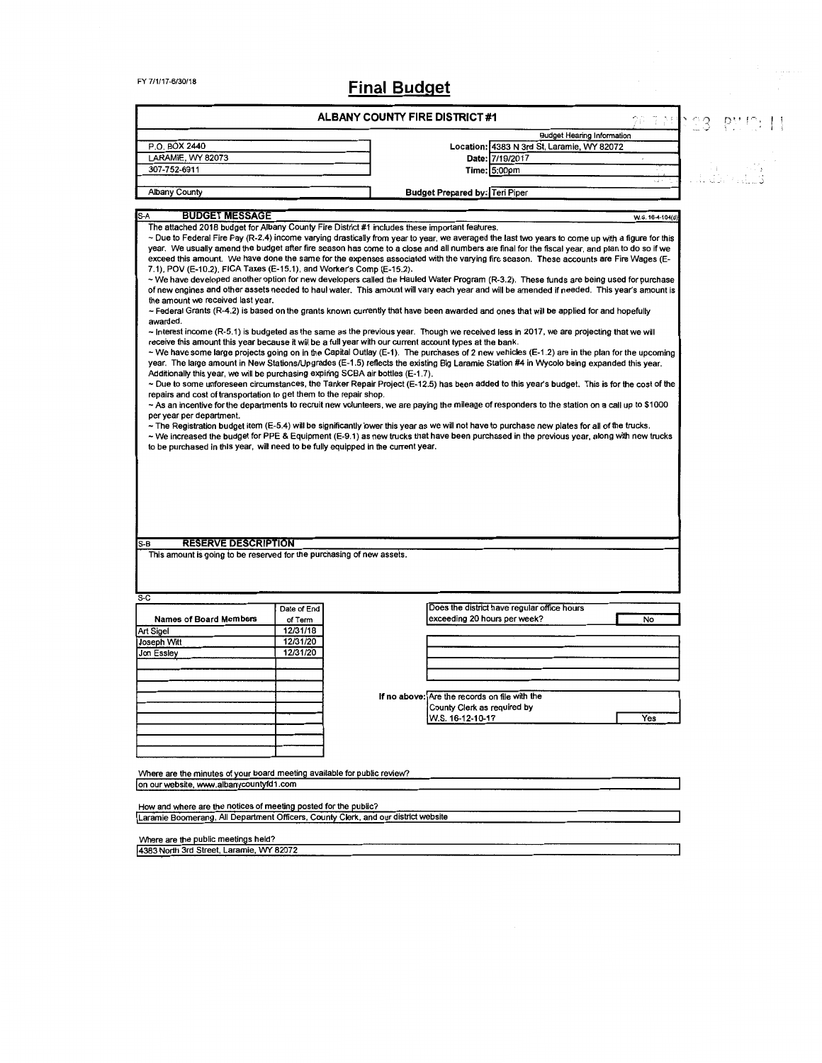# FY 7/1/17-6/30/18 Final Budget

 $\frac{4}{3}$ 

|                                                                                                                                                                                                                                                                                                                                                                                                                                  |                        | ALBANY COUNTY FIRE DISTRICT#1                                                                                                                                                                                                                                                                                                                                                                                                                                                                                                                                                                                                                                                                                                                                                                                                                                                                                                                                                                                                                                                                                                                                                                                                                                                                                                                                                                                                                                                                                                                                                                                                                                                                                                                                                                                                                                                                                                                                                                                                                                                                                                           |                                             |                  |  |
|----------------------------------------------------------------------------------------------------------------------------------------------------------------------------------------------------------------------------------------------------------------------------------------------------------------------------------------------------------------------------------------------------------------------------------|------------------------|-----------------------------------------------------------------------------------------------------------------------------------------------------------------------------------------------------------------------------------------------------------------------------------------------------------------------------------------------------------------------------------------------------------------------------------------------------------------------------------------------------------------------------------------------------------------------------------------------------------------------------------------------------------------------------------------------------------------------------------------------------------------------------------------------------------------------------------------------------------------------------------------------------------------------------------------------------------------------------------------------------------------------------------------------------------------------------------------------------------------------------------------------------------------------------------------------------------------------------------------------------------------------------------------------------------------------------------------------------------------------------------------------------------------------------------------------------------------------------------------------------------------------------------------------------------------------------------------------------------------------------------------------------------------------------------------------------------------------------------------------------------------------------------------------------------------------------------------------------------------------------------------------------------------------------------------------------------------------------------------------------------------------------------------------------------------------------------------------------------------------------------------|---------------------------------------------|------------------|--|
|                                                                                                                                                                                                                                                                                                                                                                                                                                  |                        |                                                                                                                                                                                                                                                                                                                                                                                                                                                                                                                                                                                                                                                                                                                                                                                                                                                                                                                                                                                                                                                                                                                                                                                                                                                                                                                                                                                                                                                                                                                                                                                                                                                                                                                                                                                                                                                                                                                                                                                                                                                                                                                                         | <b>Budget Hearing Information</b>           |                  |  |
| P.O. BOX 2440                                                                                                                                                                                                                                                                                                                                                                                                                    |                        |                                                                                                                                                                                                                                                                                                                                                                                                                                                                                                                                                                                                                                                                                                                                                                                                                                                                                                                                                                                                                                                                                                                                                                                                                                                                                                                                                                                                                                                                                                                                                                                                                                                                                                                                                                                                                                                                                                                                                                                                                                                                                                                                         | Location: 4383 N 3rd St, Laramie, WY 82072  |                  |  |
| LARAMIE, WY 82073                                                                                                                                                                                                                                                                                                                                                                                                                |                        |                                                                                                                                                                                                                                                                                                                                                                                                                                                                                                                                                                                                                                                                                                                                                                                                                                                                                                                                                                                                                                                                                                                                                                                                                                                                                                                                                                                                                                                                                                                                                                                                                                                                                                                                                                                                                                                                                                                                                                                                                                                                                                                                         | Date: 7/19/2017                             | $\epsilon$       |  |
| 307-752-6911                                                                                                                                                                                                                                                                                                                                                                                                                     |                        |                                                                                                                                                                                                                                                                                                                                                                                                                                                                                                                                                                                                                                                                                                                                                                                                                                                                                                                                                                                                                                                                                                                                                                                                                                                                                                                                                                                                                                                                                                                                                                                                                                                                                                                                                                                                                                                                                                                                                                                                                                                                                                                                         | Time: 5:00pm                                | ui r             |  |
| <b>Albany County</b>                                                                                                                                                                                                                                                                                                                                                                                                             |                        | Budget Prepared by: Teri Piper                                                                                                                                                                                                                                                                                                                                                                                                                                                                                                                                                                                                                                                                                                                                                                                                                                                                                                                                                                                                                                                                                                                                                                                                                                                                                                                                                                                                                                                                                                                                                                                                                                                                                                                                                                                                                                                                                                                                                                                                                                                                                                          |                                             |                  |  |
|                                                                                                                                                                                                                                                                                                                                                                                                                                  |                        |                                                                                                                                                                                                                                                                                                                                                                                                                                                                                                                                                                                                                                                                                                                                                                                                                                                                                                                                                                                                                                                                                                                                                                                                                                                                                                                                                                                                                                                                                                                                                                                                                                                                                                                                                                                                                                                                                                                                                                                                                                                                                                                                         |                                             |                  |  |
| <b>BUDGET MESSAGE</b><br>S-A<br>7.1), POV (E-10.2), FICA Taxes (E-15.1), and Worker's Comp (E-15.2).<br>the amount we received last year.<br>awarded.<br>Additionally this year, we will be purchasing expiring SCBA air bottles (E-1.7).<br>repairs and cost of transportation to get them to the repair shop.<br>per year per department.<br>to be purchased in this year, will need to be fully equipped in the current year. |                        | The attached 2018 budget for Albany County Fire District #1 includes these important features.<br>~ Due to Federal Fire Pay (R-2.4) income varying drastically from year to year, we averaged the last two years to come up with a figure for this<br>year. We usually amend the budget after fire season has come to a close and all numbers are final for the fiscal year, and plan to do so if we<br>exceed this amount. We have done the same for the expenses associated with the varying fire season. These accounts are Fire Wages (E-<br>~ We have developed another option for new developers called the Hauled Water Program (R-3.2). These funds are being used for purchase<br>of new engines and other assets needed to haul water. This amount will vary each year and will be amended if needed. This year's amount is<br>~ Federal Grants (R-4.2) is based on the grants known currently that have been awarded and ones that will be applied for and hopefully<br>~ Interest income (R-5.1) is budgeted as the same as the previous year. Though we received less in 2017, we are projecting that we will<br>receive this amount this year because it will be a full year with our current account types at the bank.<br>~ We have some large projects going on in the Capital Outlay (E-1). The purchases of 2 new vehicles (E-1.2) are in the plan for the upcoming<br>year. The large amount in New Stations/Upgrades (E-1.5) reflects the existing Big Laramie Station #4 in Wycolo being expanded this year.<br>~ Due to some unforeseen circumstances, the Tanker Repair Project (E-12.5) has been added to this year's budget. This is for the cost of the<br>~ As an incentive for the departments to recruit new volunteers, we are paying the mileage of responders to the station on a call up to \$1000<br>$\sim$ The Registration budget item (E-5.4) will be significantly lower this year as we will not have to purchase new plates for all of the trucks.<br>~ We increased the budget for PPE & Equipment (E-9.1) as new trucks that have been purchased in the previous year, along with new trucks |                                             | W.S. 16-4-104(d) |  |
|                                                                                                                                                                                                                                                                                                                                                                                                                                  |                        |                                                                                                                                                                                                                                                                                                                                                                                                                                                                                                                                                                                                                                                                                                                                                                                                                                                                                                                                                                                                                                                                                                                                                                                                                                                                                                                                                                                                                                                                                                                                                                                                                                                                                                                                                                                                                                                                                                                                                                                                                                                                                                                                         |                                             |                  |  |
| <b>RESERVE DESCRIPTION</b><br>$S-B$                                                                                                                                                                                                                                                                                                                                                                                              |                        |                                                                                                                                                                                                                                                                                                                                                                                                                                                                                                                                                                                                                                                                                                                                                                                                                                                                                                                                                                                                                                                                                                                                                                                                                                                                                                                                                                                                                                                                                                                                                                                                                                                                                                                                                                                                                                                                                                                                                                                                                                                                                                                                         |                                             |                  |  |
| This amount is going to be reserved for the purchasing of new assets.<br>$S-C$                                                                                                                                                                                                                                                                                                                                                   |                        |                                                                                                                                                                                                                                                                                                                                                                                                                                                                                                                                                                                                                                                                                                                                                                                                                                                                                                                                                                                                                                                                                                                                                                                                                                                                                                                                                                                                                                                                                                                                                                                                                                                                                                                                                                                                                                                                                                                                                                                                                                                                                                                                         |                                             |                  |  |
| <b>Names of Board Members</b>                                                                                                                                                                                                                                                                                                                                                                                                    | Date of End<br>of Term | exceeding 20 hours per week?                                                                                                                                                                                                                                                                                                                                                                                                                                                                                                                                                                                                                                                                                                                                                                                                                                                                                                                                                                                                                                                                                                                                                                                                                                                                                                                                                                                                                                                                                                                                                                                                                                                                                                                                                                                                                                                                                                                                                                                                                                                                                                            | Does the district have regular office hours | No               |  |
| Art Sigel                                                                                                                                                                                                                                                                                                                                                                                                                        | 12/31/18               |                                                                                                                                                                                                                                                                                                                                                                                                                                                                                                                                                                                                                                                                                                                                                                                                                                                                                                                                                                                                                                                                                                                                                                                                                                                                                                                                                                                                                                                                                                                                                                                                                                                                                                                                                                                                                                                                                                                                                                                                                                                                                                                                         |                                             |                  |  |
| Joseph Witt                                                                                                                                                                                                                                                                                                                                                                                                                      | 12/31/20               |                                                                                                                                                                                                                                                                                                                                                                                                                                                                                                                                                                                                                                                                                                                                                                                                                                                                                                                                                                                                                                                                                                                                                                                                                                                                                                                                                                                                                                                                                                                                                                                                                                                                                                                                                                                                                                                                                                                                                                                                                                                                                                                                         |                                             |                  |  |
| Jon Essley                                                                                                                                                                                                                                                                                                                                                                                                                       | 12/31/20               |                                                                                                                                                                                                                                                                                                                                                                                                                                                                                                                                                                                                                                                                                                                                                                                                                                                                                                                                                                                                                                                                                                                                                                                                                                                                                                                                                                                                                                                                                                                                                                                                                                                                                                                                                                                                                                                                                                                                                                                                                                                                                                                                         |                                             |                  |  |
|                                                                                                                                                                                                                                                                                                                                                                                                                                  |                        |                                                                                                                                                                                                                                                                                                                                                                                                                                                                                                                                                                                                                                                                                                                                                                                                                                                                                                                                                                                                                                                                                                                                                                                                                                                                                                                                                                                                                                                                                                                                                                                                                                                                                                                                                                                                                                                                                                                                                                                                                                                                                                                                         |                                             |                  |  |
|                                                                                                                                                                                                                                                                                                                                                                                                                                  |                        |                                                                                                                                                                                                                                                                                                                                                                                                                                                                                                                                                                                                                                                                                                                                                                                                                                                                                                                                                                                                                                                                                                                                                                                                                                                                                                                                                                                                                                                                                                                                                                                                                                                                                                                                                                                                                                                                                                                                                                                                                                                                                                                                         |                                             |                  |  |
|                                                                                                                                                                                                                                                                                                                                                                                                                                  |                        |                                                                                                                                                                                                                                                                                                                                                                                                                                                                                                                                                                                                                                                                                                                                                                                                                                                                                                                                                                                                                                                                                                                                                                                                                                                                                                                                                                                                                                                                                                                                                                                                                                                                                                                                                                                                                                                                                                                                                                                                                                                                                                                                         |                                             |                  |  |
|                                                                                                                                                                                                                                                                                                                                                                                                                                  |                        | If no above: Are the records on file with the                                                                                                                                                                                                                                                                                                                                                                                                                                                                                                                                                                                                                                                                                                                                                                                                                                                                                                                                                                                                                                                                                                                                                                                                                                                                                                                                                                                                                                                                                                                                                                                                                                                                                                                                                                                                                                                                                                                                                                                                                                                                                           |                                             |                  |  |
|                                                                                                                                                                                                                                                                                                                                                                                                                                  |                        | County Clerk as required by                                                                                                                                                                                                                                                                                                                                                                                                                                                                                                                                                                                                                                                                                                                                                                                                                                                                                                                                                                                                                                                                                                                                                                                                                                                                                                                                                                                                                                                                                                                                                                                                                                                                                                                                                                                                                                                                                                                                                                                                                                                                                                             |                                             |                  |  |
|                                                                                                                                                                                                                                                                                                                                                                                                                                  |                        | W.S. 16-12-10-17                                                                                                                                                                                                                                                                                                                                                                                                                                                                                                                                                                                                                                                                                                                                                                                                                                                                                                                                                                                                                                                                                                                                                                                                                                                                                                                                                                                                                                                                                                                                                                                                                                                                                                                                                                                                                                                                                                                                                                                                                                                                                                                        |                                             | Yes              |  |
|                                                                                                                                                                                                                                                                                                                                                                                                                                  |                        |                                                                                                                                                                                                                                                                                                                                                                                                                                                                                                                                                                                                                                                                                                                                                                                                                                                                                                                                                                                                                                                                                                                                                                                                                                                                                                                                                                                                                                                                                                                                                                                                                                                                                                                                                                                                                                                                                                                                                                                                                                                                                                                                         |                                             |                  |  |
|                                                                                                                                                                                                                                                                                                                                                                                                                                  |                        |                                                                                                                                                                                                                                                                                                                                                                                                                                                                                                                                                                                                                                                                                                                                                                                                                                                                                                                                                                                                                                                                                                                                                                                                                                                                                                                                                                                                                                                                                                                                                                                                                                                                                                                                                                                                                                                                                                                                                                                                                                                                                                                                         |                                             |                  |  |
|                                                                                                                                                                                                                                                                                                                                                                                                                                  |                        |                                                                                                                                                                                                                                                                                                                                                                                                                                                                                                                                                                                                                                                                                                                                                                                                                                                                                                                                                                                                                                                                                                                                                                                                                                                                                                                                                                                                                                                                                                                                                                                                                                                                                                                                                                                                                                                                                                                                                                                                                                                                                                                                         |                                             |                  |  |
| Where are the minutes of your board meeting available for public review?<br>on our website, www.albanycountyfd1.com                                                                                                                                                                                                                                                                                                              |                        |                                                                                                                                                                                                                                                                                                                                                                                                                                                                                                                                                                                                                                                                                                                                                                                                                                                                                                                                                                                                                                                                                                                                                                                                                                                                                                                                                                                                                                                                                                                                                                                                                                                                                                                                                                                                                                                                                                                                                                                                                                                                                                                                         |                                             |                  |  |
|                                                                                                                                                                                                                                                                                                                                                                                                                                  |                        |                                                                                                                                                                                                                                                                                                                                                                                                                                                                                                                                                                                                                                                                                                                                                                                                                                                                                                                                                                                                                                                                                                                                                                                                                                                                                                                                                                                                                                                                                                                                                                                                                                                                                                                                                                                                                                                                                                                                                                                                                                                                                                                                         |                                             |                  |  |
| How and where are the notices of meeting posted for the public?<br>Laramie Boomerang, All Department Officers, County Clerk, and our district website                                                                                                                                                                                                                                                                            |                        |                                                                                                                                                                                                                                                                                                                                                                                                                                                                                                                                                                                                                                                                                                                                                                                                                                                                                                                                                                                                                                                                                                                                                                                                                                                                                                                                                                                                                                                                                                                                                                                                                                                                                                                                                                                                                                                                                                                                                                                                                                                                                                                                         |                                             |                  |  |
|                                                                                                                                                                                                                                                                                                                                                                                                                                  |                        |                                                                                                                                                                                                                                                                                                                                                                                                                                                                                                                                                                                                                                                                                                                                                                                                                                                                                                                                                                                                                                                                                                                                                                                                                                                                                                                                                                                                                                                                                                                                                                                                                                                                                                                                                                                                                                                                                                                                                                                                                                                                                                                                         |                                             |                  |  |

Where are the public meetings held?<br>4383 North 3rd Street, Laramie, WY 82072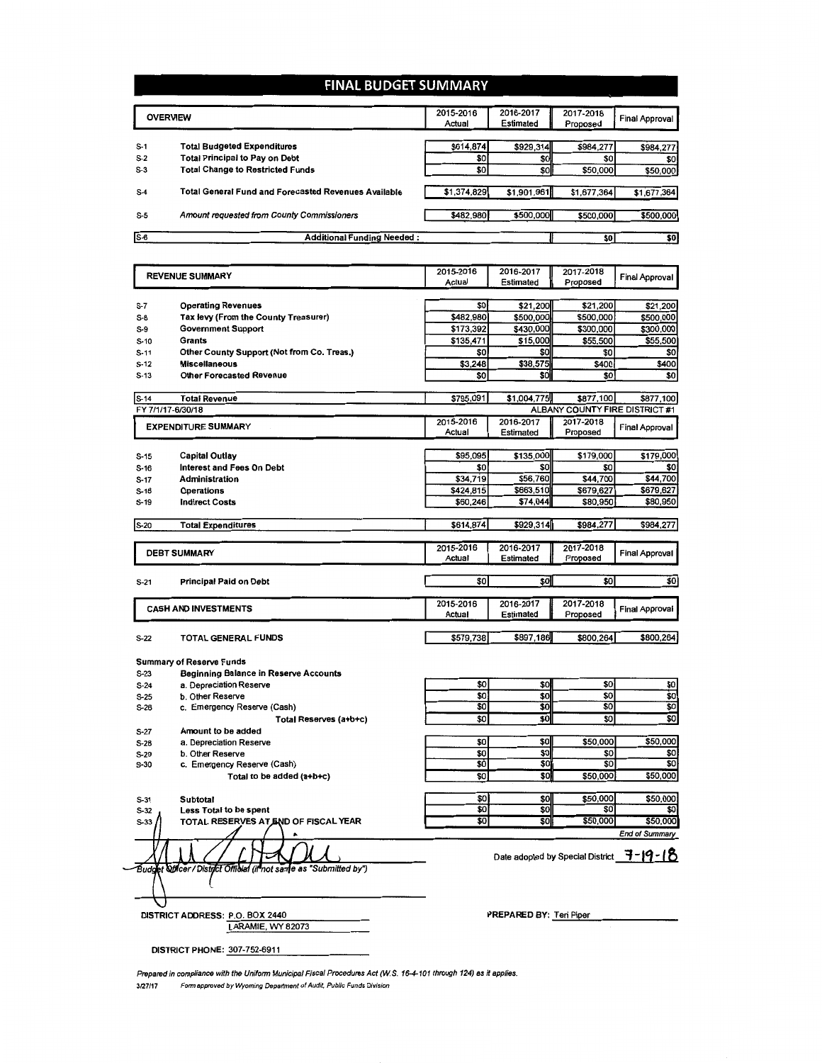## FINAL BUDGET SUMMARY

| <b>OVERVIEW</b>                            |                                                             | 2016-2017                                                | 2017-2018                       | <b>Final Approval</b>             |
|--------------------------------------------|-------------------------------------------------------------|----------------------------------------------------------|---------------------------------|-----------------------------------|
|                                            |                                                             | Estimated                                                | Proposed                        |                                   |
|                                            |                                                             |                                                          |                                 |                                   |
| <b>Total Budgeted Expenditures</b>         | \$614,874                                                   | \$929,314                                                | \$984,277                       | \$984,277                         |
| <b>Total Principal to Pay on Debt</b>      | \$0                                                         | \$0                                                      | \$0                             | \$0                               |
| <b>Total Change to Restricted Funds</b>    |                                                             | \$0                                                      | \$50,000                        | \$50,000                          |
|                                            |                                                             |                                                          |                                 |                                   |
|                                            |                                                             |                                                          |                                 | \$1,677,364                       |
| Amount requested from County Commissioners |                                                             | \$500,000                                                | \$500,000                       | \$500,000                         |
|                                            |                                                             |                                                          |                                 | \$0                               |
|                                            | <b>Total General Fund and Forecasted Revenues Available</b> | 2015-2016<br>Actual<br><b>Additional Funding Needed:</b> | \$0<br>\$1,374,829<br>\$482,980 | \$1,901,961<br>\$1,677,364<br>\$0 |

|                   | <b>REVENUE SUMMARY</b>                                            |                  | 2016-2017       | 2017-2018                                | <b>Final Approval</b>      |
|-------------------|-------------------------------------------------------------------|------------------|-----------------|------------------------------------------|----------------------------|
|                   |                                                                   |                  | Estimated       | Proposed                                 |                            |
|                   |                                                                   | \$0              | \$21,200        | \$21,200                                 | \$21,200                   |
| $S-7$             | <b>Operating Revenues</b><br>Tax levy (From the County Treasurer) | \$482,980        | \$500,000       | \$500,000                                | \$500,000                  |
| $S-8$             |                                                                   | \$173,392        | \$430,000       | \$300,000                                | \$300,000                  |
| $S-9$             | <b>Government Support</b>                                         |                  |                 |                                          |                            |
| $S-10$            | Grants                                                            | \$135,471<br>\$0 | \$15,000<br>\$0 | \$55,500<br>\$0                          | \$55,500<br>\$0            |
| $S-11$            | Other County Support (Not from Co. Treas.)                        | \$3,248          | \$38,575        | \$400                                    | \$400                      |
| $S-12$            | <b>Miscellaneous</b>                                              | \$0              | \$0             | \$0                                      | \$0                        |
| $S-13$            | <b>Other Forecasted Revenue</b>                                   |                  |                 |                                          |                            |
| $S-14$            | <b>Total Revenue</b>                                              | \$795,091        | \$1,004,775     | \$877,100                                | \$877,100                  |
| FY 7/1/17-6/30/18 |                                                                   |                  |                 | ALBANY COUNTY FIRE DISTRICT #1           |                            |
|                   | <b>EXPENDITURE SUMMARY</b>                                        | 2015-2016        | 2016-2017       | 2017-2018                                | Final Approval             |
|                   |                                                                   | Actual           | Estimated       | Proposed                                 |                            |
|                   |                                                                   |                  |                 |                                          |                            |
| $S-15$            | Capital Outlay                                                    | \$95.095         | \$135,000       | \$179,000                                | \$179,000                  |
| $S-16$            | <b>Interest and Fees On Debt</b>                                  | \$0              | \$0             | \$0                                      | \$0                        |
| S-17              | <b>Administration</b>                                             | \$34,719         | \$56,760        | \$44,700                                 | \$44,700                   |
| $S-18$            | <b>Operations</b>                                                 | \$424,815        | \$663,510       | \$679,627                                | \$679,627                  |
| $S-19$            | <b>Indirect Costs</b>                                             | \$60,246         | \$74,044        | \$80,950                                 | \$80,950                   |
|                   |                                                                   |                  |                 |                                          |                            |
| $S-20$            | <b>Total Expenditures</b>                                         | \$614,874        | \$929,314       | \$984,277                                | \$984,277                  |
|                   |                                                                   | 2015-2016        | 2016-2017       | 2017-2018                                |                            |
|                   | <b>DEBT SUMMARY</b>                                               | Actual           | Estimated       | Proposed                                 | Final Approval             |
|                   |                                                                   |                  |                 |                                          |                            |
|                   |                                                                   |                  |                 |                                          |                            |
|                   |                                                                   | \$O              | \$0             | \$0                                      | \$0                        |
| $S-21$            | <b>Principal Paid on Debt</b>                                     |                  |                 |                                          |                            |
|                   |                                                                   | 2015-2016        | 2016-2017       | 2017-2018                                |                            |
|                   | <b>CASH AND INVESTMENTS</b>                                       | Actual           | Estimated       | Proposed                                 | <b>Final Approval</b>      |
|                   |                                                                   |                  |                 |                                          |                            |
| S-22              | TOTAL GENERAL FUNDS                                               | \$579,738        | \$897,186       | \$800,264                                | \$800,264                  |
|                   |                                                                   |                  |                 |                                          |                            |
|                   | Summary of Reserve Funds                                          |                  |                 |                                          |                            |
| S-23              | <b>Beginning Balance in Reserve Accounts</b>                      |                  |                 |                                          |                            |
| $S-24$            | a. Depreciation Reserve                                           | \$0              | \$0             | \$0                                      | \$0                        |
| S-25              | b. Other Reserve                                                  | \$O              | \$0             | \$0                                      | $\overline{\mathfrak{so}}$ |
| S-26              | c. Emergency Reserve (Cash)                                       | \$0              | \$0             | \$Ō                                      | $\overline{50}$            |
|                   | Total Reserves (a+b+c)                                            | \$0              | \$0             | $\overline{\text{SO}}$                   | \$0                        |
| S-27              | Amount to be added                                                |                  |                 |                                          |                            |
| S-28              | a. Depreciation Reserve                                           | \$0              | \$0             | \$50,000                                 | \$50,000                   |
| S-29              | b. Other Reserve                                                  | \$0              | \$0             | \$0                                      | \$0                        |
| S-30              | c. Emergency Reserve (Cash)                                       | \$Ò              | \$0             | \$0                                      | \$0                        |
|                   | Total to be added (a+b+c)                                         | $\overline{50}$  | \$0             | \$50,000                                 | \$50,000                   |
|                   |                                                                   |                  |                 |                                          |                            |
| $S-31$            | <b>Subtotal</b>                                                   | \$0              | \$0             | \$50,000                                 | \$50,000                   |
| $S-32$            | Less Total to be spent                                            | \$0              | \$0             | \$O                                      | \$0                        |
| $S-33$            | TOTAL RESERVES AT END OF FISCAL YEAR                              | \$0              | \$0             | \$50,000                                 | \$50,000                   |
|                   | ٠                                                                 |                  |                 |                                          | End of Summary             |
|                   |                                                                   |                  |                 | Date adopted by Special District 7-19-18 |                            |

PREPARED BY: Teri Piper

Prepared in compliance with the Uniform Municipal Fiscal Procedures Act (W.S. 16-4-101 through 124) as it applies. 3/27/17 Form approved by Wyoming Department of Audit, Public Funds Division

DISTRICT ADDRESS: <u>P.O. BOX 2440</u><br>LARAMIE, WY 82073

DISTRICT PHONE: 307-752-6911

O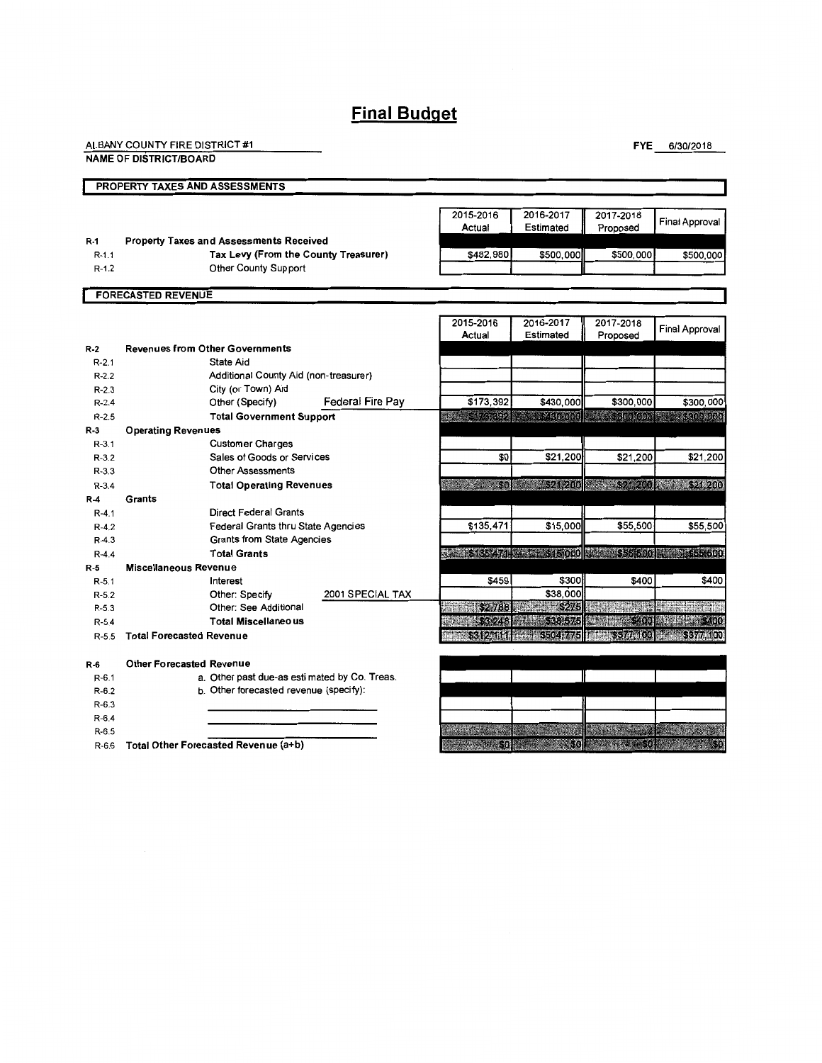# **Final Budget**

| ALBANY COUNTY FIRE DISTRICT #1 |  |
|--------------------------------|--|
| <b>NAME OF DISTRICT/BOARD</b>  |  |

FYE 6/30/2018

|           | PROPERTY TAXES AND ASSESSMENTS                 |                                           |                                               |                                                                   |                                     |                               |                                           |
|-----------|------------------------------------------------|-------------------------------------------|-----------------------------------------------|-------------------------------------------------------------------|-------------------------------------|-------------------------------|-------------------------------------------|
|           |                                                |                                           |                                               |                                                                   |                                     |                               |                                           |
|           |                                                |                                           |                                               | 2015-2016                                                         | 2016-2017                           | 2017-2018                     | Final Approval                            |
|           |                                                |                                           |                                               | Actual                                                            | Estimated                           | Proposed                      |                                           |
| $R-1$     | <b>Property Taxes and Assessments Received</b> |                                           |                                               |                                                                   |                                     |                               |                                           |
| $R - 1.1$ |                                                | Tax Levy (From the County Treasurer)      |                                               | \$482,980                                                         | \$500,000                           | \$500,000                     | \$500,000                                 |
| $R-1.2$   |                                                | Other County Support                      |                                               |                                                                   |                                     |                               |                                           |
|           | <b>FORECASTED REVENUE</b>                      |                                           |                                               |                                                                   |                                     |                               |                                           |
|           |                                                |                                           |                                               |                                                                   |                                     |                               |                                           |
|           |                                                |                                           |                                               | 2015-2016                                                         | 2016-2017                           | 2017-2018                     | <b>Final Approval</b>                     |
|           |                                                |                                           |                                               | Actual                                                            | Estimated                           | Proposed                      |                                           |
| $R-2$     | <b>Revenues from Other Governments</b>         |                                           |                                               |                                                                   |                                     |                               |                                           |
| $R - 2.1$ | State Aid                                      |                                           |                                               |                                                                   |                                     |                               |                                           |
| $R - 2.2$ |                                                | Additional County Aid (non-treasurer)     |                                               |                                                                   |                                     |                               |                                           |
| $R - 2.3$ | City (or Town) Aid                             |                                           |                                               |                                                                   |                                     |                               |                                           |
| $R - 2.4$ | Other (Specify)                                |                                           | Federal Fire Pay                              | \$173,392                                                         | \$430,000                           | \$300,000                     | \$300,000                                 |
| $R - 2.5$ |                                                | <b>Total Government Support</b>           |                                               | d: 610,092                                                        | $8\times 60000$                     |                               | <b>BASE SSCIELE GROUP</b> SECTION CONTROL |
| $R-3$     | <b>Operating Revenues</b>                      |                                           |                                               |                                                                   |                                     |                               |                                           |
| $R - 3.1$ |                                                | <b>Customer Charges</b>                   |                                               |                                                                   |                                     |                               |                                           |
| $R-3.2$   |                                                | Sales of Goods or Services                |                                               | \$0                                                               | \$21,200                            | \$21,200                      | \$21,200                                  |
| $R - 3.3$ |                                                | <b>Other Assessments</b>                  |                                               |                                                                   |                                     |                               |                                           |
| $R - 3.4$ |                                                | <b>Total Operating Revenues</b>           |                                               | 1. 200 3. 30 3. 321 200 3. 321 200 3. 321 200                     |                                     |                               |                                           |
| $R-4$     | Grants                                         |                                           |                                               |                                                                   |                                     |                               |                                           |
| $R - 4.1$ |                                                | <b>Direct Federal Grants</b>              |                                               |                                                                   |                                     |                               |                                           |
| $R - 4.2$ |                                                | <b>Federal Grants thru State Agencies</b> |                                               | \$135,471                                                         | \$15,000                            | \$55,500                      | \$55,500                                  |
| $R - 4.3$ |                                                | <b>Grants from State Agencies</b>         |                                               |                                                                   |                                     |                               |                                           |
| $R - 4.4$ | <b>Total Grants</b>                            |                                           |                                               | ww.a.s.s.e. All and salaroo <mark>3 and 555,600 metals.com</mark> |                                     |                               |                                           |
| R-5       | <b>Miscellaneous Revenue</b>                   |                                           |                                               |                                                                   |                                     |                               |                                           |
| $R - 5.1$ | Interest                                       |                                           |                                               | \$459                                                             | \$300                               | \$400                         | \$400                                     |
| $R-5.2$   | Other: Specify                                 |                                           | 2001 SPECIAL TAX                              |                                                                   | \$38,000                            |                               |                                           |
| $R - 5.3$ |                                                | Other: See Additional                     |                                               | \$2,788                                                           | <b>1241119275</b>                   | <b>Alian</b>                  |                                           |
| $R - 5.4$ |                                                | <b>Total Miscellaneous</b>                |                                               | <b>BRITISH AND SECTION</b>                                        |                                     | BERTHDAY TO RECORD TO         |                                           |
| $R - 5.5$ | <b>Total Forecasted Revenue</b>                |                                           |                                               |                                                                   | - \$312 did - \$504 775             |                               | <b>1272233777400 - 20133774100</b>        |
|           |                                                |                                           |                                               |                                                                   |                                     |                               |                                           |
| $R-6$     | <b>Other Forecasted Revenue</b>                |                                           |                                               |                                                                   |                                     |                               |                                           |
| $R-6.1$   |                                                |                                           | a. Other past due-as esti mated by Co. Treas. |                                                                   |                                     |                               |                                           |
| $R-6.2$   |                                                | b. Other forecasted revenue (specify):    |                                               |                                                                   |                                     |                               |                                           |
| $R-6.3$   |                                                |                                           |                                               |                                                                   |                                     |                               |                                           |
| $R - 6.4$ |                                                |                                           |                                               |                                                                   |                                     |                               |                                           |
| $R-6.5$   |                                                |                                           |                                               |                                                                   |                                     |                               |                                           |
| $R-6.6$   | Total Other Forecasted Revenue (a+b)           |                                           |                                               |                                                                   | <b>BALLACE SO SOLUTION SOLUTION</b> | <b>REPARTMENT OF BUILDING</b> |                                           |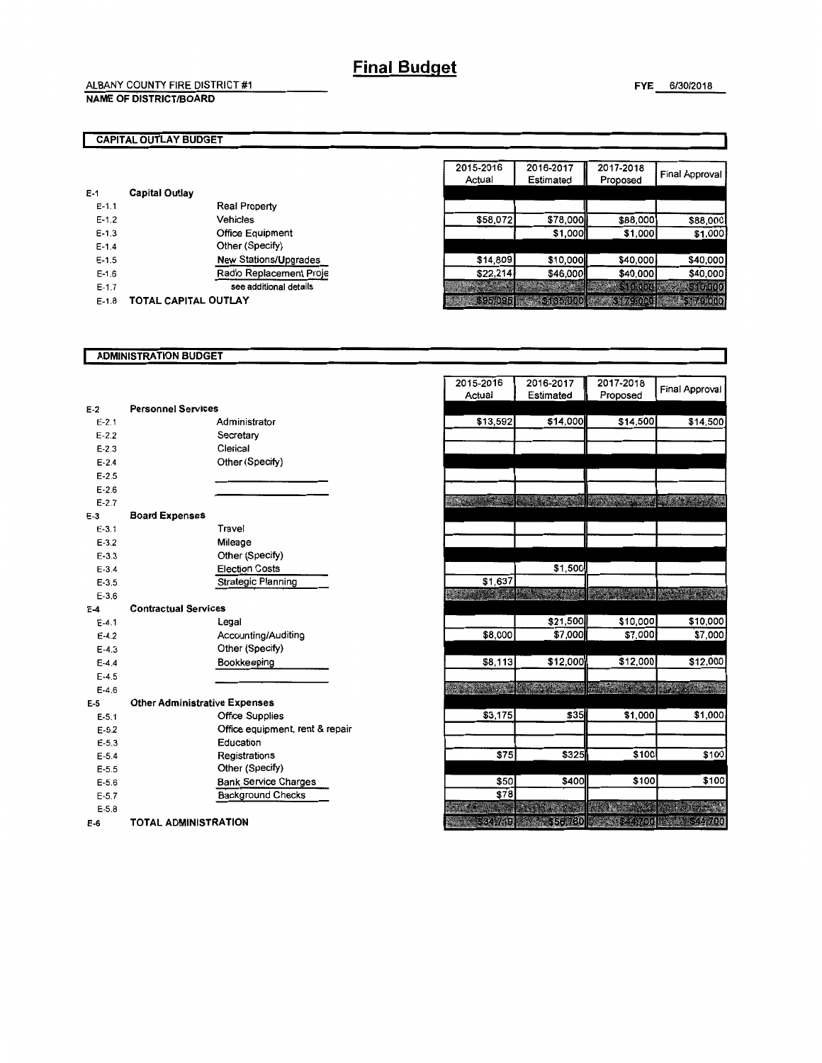#### CAPITAL OUTLAY BUDGET

| E-1       | Capital Outlay       |                              |
|-----------|----------------------|------------------------------|
| $E-1.1$   |                      | <b>Real Property</b>         |
| $E - 1.2$ |                      | Vehicles                     |
| $E - 1.3$ |                      | <b>Office Equipment</b>      |
| $E - 1.4$ |                      | Other (Specify)              |
| $E-1.5$   |                      | <b>New Stations/Upgrades</b> |
| $E-1.6$   |                      | Radio Replacement Proje      |
| $E-1.7$   |                      | see additional details       |
| $E - 1.8$ | TOTAL CAPITAL OUTLAY |                              |

| 2015-2016<br>Actual | 2016-2017<br>Estimated | 2017-2018<br>Proposed   | <b>Final Approval</b> |
|---------------------|------------------------|-------------------------|-----------------------|
|                     |                        |                         |                       |
|                     |                        |                         |                       |
| \$58,072            | \$78,000               | \$88,000                | \$88,000              |
|                     | \$1,000                | \$1,000                 | \$1,000               |
|                     |                        |                         |                       |
| \$14,809            | \$10,000               | \$40,000                | \$40,000              |
| \$22,214            | \$46,000               | \$40,000                | \$40,000              |
|                     |                        | \$10,000                | \$10,000              |
| 5356095             | <b>A KATE</b>          | <b>Stalizzed dialet</b> | \$179,000             |

#### ADMINISTRATION BUDGET

| $E-2$     | <b>Personnel Services</b>            |                                 |
|-----------|--------------------------------------|---------------------------------|
| $E - 2.1$ |                                      | Administrator                   |
| $E - 2.2$ |                                      | Secretary                       |
| $E - 2.3$ |                                      | Clerical                        |
| $E - 2.4$ |                                      | Other (Specify)                 |
| $E - 2.5$ |                                      |                                 |
| $E - 2.6$ |                                      |                                 |
| $E-2.7$   |                                      |                                 |
| $E-3$     | <b>Board Expenses</b>                |                                 |
| $E - 3.1$ |                                      | Travel                          |
| $E - 3.2$ |                                      | Mileage                         |
| $E - 3.3$ |                                      | Other (Specify)                 |
| $E - 3.4$ |                                      | <b>Election Costs</b>           |
| $E - 3.5$ |                                      | <b>Strategic Planning</b>       |
| $E - 3.6$ |                                      |                                 |
| $E-4$     | <b>Contractual Services</b>          |                                 |
| $E - 4.1$ |                                      | Legal                           |
| $E - 4.2$ |                                      | Accounting/Auditing             |
| $E - 4.3$ |                                      | Other (Specify)                 |
| $E - 4.4$ |                                      | Bookkeeping                     |
| $E-4.5$   |                                      |                                 |
| $F-46$    |                                      |                                 |
| F-5       | <b>Other Administrative Expenses</b> |                                 |
| $E - 5.1$ |                                      | <b>Office Supplies</b>          |
| $E - 5.2$ |                                      | Office equipment, rent & repair |
| $E - 5.3$ |                                      | Education                       |
| $E - 5.4$ |                                      | Registrations                   |
| $E - 5.5$ |                                      | Other (Specify)                 |
| $E - 5.6$ |                                      | <b>Bank Service Charges</b>     |
| $E - 5.7$ |                                      | <b>Background Checks</b>        |
| $E - 5.8$ |                                      |                                 |
| E-6       | TOTAL ADMINISTRATION                 |                                 |

| 2015-2016<br>Actual | 2016-2017<br>Estimated | 2017-2018<br>Proposed | <b>Final Approval</b> |
|---------------------|------------------------|-----------------------|-----------------------|
|                     |                        |                       |                       |
| \$13,592            | \$14,000               | \$14,500              | \$14,500              |
|                     |                        |                       |                       |
|                     |                        |                       |                       |
|                     |                        |                       |                       |
|                     |                        |                       |                       |
|                     |                        |                       |                       |
|                     |                        |                       |                       |
|                     |                        |                       |                       |
|                     |                        |                       |                       |
|                     |                        |                       |                       |
|                     |                        |                       |                       |
|                     |                        |                       |                       |
|                     | \$1,500                |                       |                       |
| \$1,637             |                        |                       |                       |
|                     |                        |                       |                       |
|                     |                        |                       |                       |
|                     | \$21,500               | \$10,000              | \$10,000              |
| \$8,000             | \$7,000                | \$7,000               | \$7,000               |
|                     |                        |                       |                       |
| \$8,113             | \$12,000               | \$12,000              | \$12,000              |
|                     |                        |                       |                       |
| فتعليم              |                        |                       |                       |
|                     |                        |                       |                       |
| \$3,175             | \$35                   | \$1,000               | \$1,000               |
|                     |                        |                       |                       |
|                     |                        |                       |                       |
| \$75                | \$325                  | \$100                 | \$100                 |
|                     |                        |                       |                       |
| \$50                | \$400                  | \$100                 | \$100                 |
| \$78                |                        |                       |                       |
|                     |                        |                       |                       |
|                     |                        |                       |                       |
| - 624,749           | 12556.760              | S2197700              | 644,700               |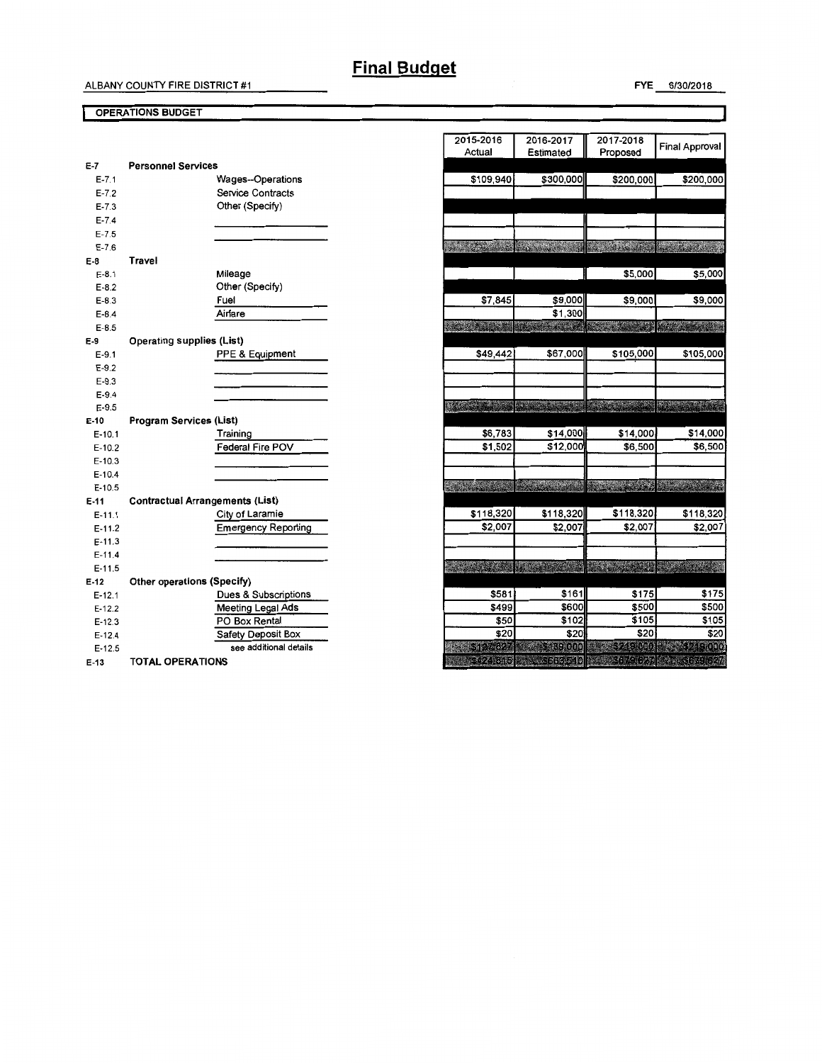# **Final Budget**

#### OPERATIONS BUDGET

| $E-7$      | <b>Personnel Services</b>              |
|------------|----------------------------------------|
| $E - 7.1$  | Wages--Operations                      |
| $E - 7.2$  | <b>Service Contracts</b>               |
| $E - 7.3$  | Other (Specify)                        |
| $E - 7.4$  |                                        |
| $E - 7.5$  |                                        |
| $E - 7.6$  |                                        |
| E-8        | Travel                                 |
| $E-8.1$    | Mileage                                |
| $E-8.2$    | Other (Specify)                        |
| $E - 8.3$  | Fuel                                   |
| $E-8.4$    | Airfare                                |
| $E-8.5$    |                                        |
| E-9        | Operating supplies (List)              |
| $E-9.1$    | PPE & Equipment                        |
| $E - 9.2$  |                                        |
| $E - 9.3$  |                                        |
| $E-9.4$    |                                        |
| $E-9.5$    |                                        |
| E-10       | Program Services (List)                |
| $E-10.1$   | Training                               |
| $E-10.2$   | Federal Fire POV                       |
| $E-10.3$   |                                        |
| $E-10.4$   |                                        |
| $E-10.5$   |                                        |
| E-11       | <b>Contractual Arrangements (List)</b> |
| $E - 11.1$ | City of Laramie                        |
| E-11.2     | <b>Emergency Reporting</b>             |
| $E - 11.3$ |                                        |
| $E-11.4$   |                                        |
| $E-11.5$   |                                        |
| $E-12$     | <b>Other operations (Specify)</b>      |
| $E-12.1$   | Dues & Subscriptions                   |
| $E-12.2$   | Meeting Legal Ads                      |
| E-12.3     | PO Box Rental                          |
| E-12.4     | Safety Deposit Box                     |
| $E-12.5$   | see additional details                 |
| E-13       | <b>TOTAL OPERATIONS</b>                |

| 2015-2016            | 2016-2017   | 2017-2018      | <b>Final Approval</b>                                                                                                 |
|----------------------|-------------|----------------|-----------------------------------------------------------------------------------------------------------------------|
| Actual               | Estimated   | Proposed       |                                                                                                                       |
|                      |             |                |                                                                                                                       |
| \$109,940            | \$300,000   | \$200,000      | \$200,000                                                                                                             |
|                      |             |                |                                                                                                                       |
|                      |             |                |                                                                                                                       |
|                      |             |                |                                                                                                                       |
|                      |             |                |                                                                                                                       |
| 5.3.3.3.3.3          |             |                |                                                                                                                       |
|                      |             |                |                                                                                                                       |
|                      |             | \$5,000        | \$5,000                                                                                                               |
|                      |             |                |                                                                                                                       |
| \$7,845              | \$9,000     | \$9,000        | \$9,000                                                                                                               |
|                      | \$1,300     |                |                                                                                                                       |
| <b>ASSESSMENT</b>    |             |                | <b>The College of the College of the College of the College of the College of the College of the College of the C</b> |
|                      |             |                |                                                                                                                       |
| \$49,442             | \$67,000    | \$105,000      | \$105,000                                                                                                             |
|                      |             |                |                                                                                                                       |
|                      |             |                |                                                                                                                       |
|                      |             | 5633           | <b>REAL PROPERTY</b>                                                                                                  |
| <b>SECTION</b>       |             |                |                                                                                                                       |
|                      |             |                |                                                                                                                       |
| \$6,783              | \$14,000    | \$14,000       | \$14,000                                                                                                              |
| \$1,502              | \$12,000    | \$6,500        | \$6,500                                                                                                               |
|                      |             |                |                                                                                                                       |
|                      |             |                | <b>Contract Contract Contract Contract</b>                                                                            |
| <b>REPAIRING</b>     |             |                |                                                                                                                       |
|                      |             | \$118,320      | \$118,320                                                                                                             |
| \$118,320<br>\$2,007 | \$118,320   |                |                                                                                                                       |
|                      | \$2,007     | \$2,007        | \$2,007                                                                                                               |
|                      |             |                |                                                                                                                       |
| <b>Service</b>       |             | $\mathbb{R}^n$ | e e provi                                                                                                             |
|                      |             |                |                                                                                                                       |
| \$581                | \$161       | \$175          | \$175                                                                                                                 |
| \$499                | \$600       | \$500          | \$500                                                                                                                 |
| \$50                 | \$102       | \$105          | \$105                                                                                                                 |
| \$20                 | \$20        | \$20           | \$20                                                                                                                  |
| 124327               | \$139,000   | 2 524 9 6 0 6  | <b>COND</b>                                                                                                           |
| 424 515              | $-5663,510$ | \$679.627      | 3049627                                                                                                               |
|                      |             |                |                                                                                                                       |

FYE 6/30/2016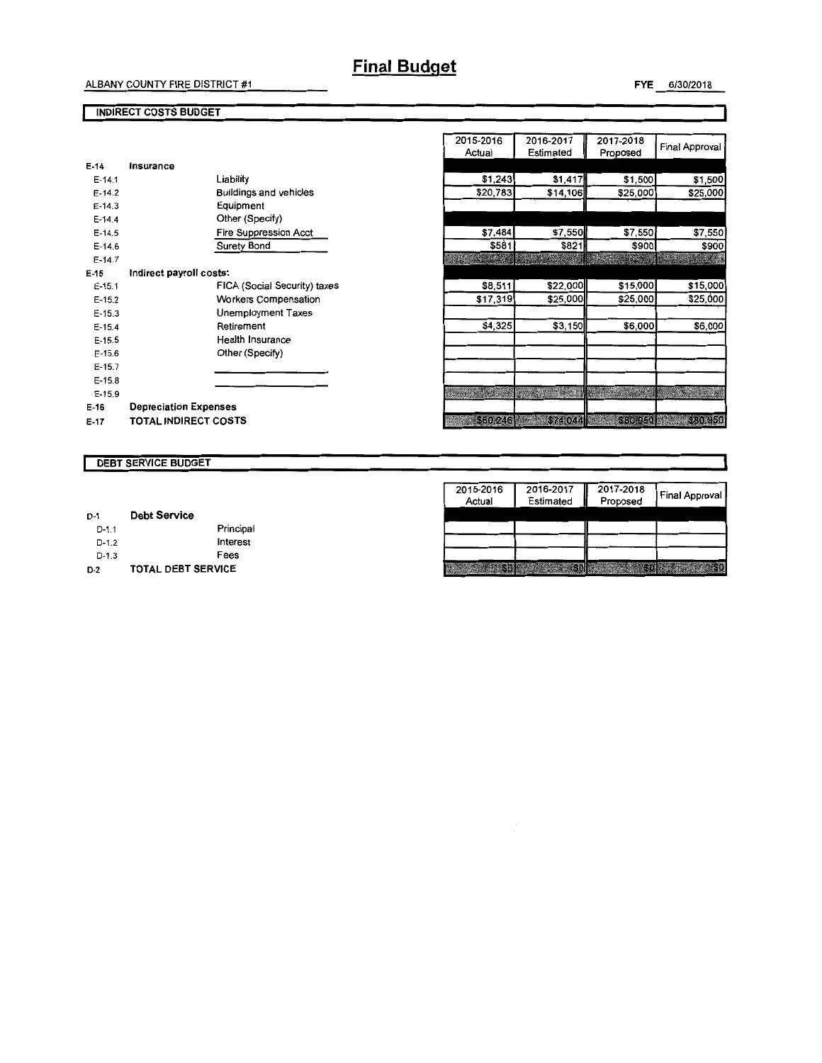# **Final Budget**

## FYE 6/30/2018

#### INDIRECT COSTS BUDGET

| E-14       | Insurance                    |                               |
|------------|------------------------------|-------------------------------|
| $E - 14.1$ |                              | Liability                     |
| $F-14.2$   |                              | <b>Buildings and vehicles</b> |
| $E - 14.3$ |                              | Equipment                     |
| $E-14.4$   |                              | Other (Specify)               |
| $E-14.5$   |                              | <b>Fire Suppression Acct</b>  |
| $E-14.6$   |                              | Surety Bond                   |
| $E-14.7$   |                              |                               |
| $E-15$     | Indirect payroll costs:      |                               |
| $E-15.1$   |                              | FICA (Social Security) taxes  |
| $F-15.2$   |                              | <b>Workers Compensation</b>   |
| $E-15.3$   |                              | Unemployment Taxes            |
| $E-15.4$   |                              | Retirement                    |
| $E-15.5$   |                              | Health Insurance              |
| $F-15.6$   |                              | Other (Specify)               |
| $E-15.7$   |                              |                               |
| $E-15.8$   |                              |                               |
| $E-15.9$   |                              |                               |
| $E-16$     | <b>Depreciation Expenses</b> |                               |
| E-17       | <b>TOTAL INDIRECT COSTS</b>  |                               |

| 2015-2016<br>Actual | 2016-2017<br>Estimated | 2017-2018<br>Proposed | <b>Final Approval</b> |
|---------------------|------------------------|-----------------------|-----------------------|
|                     |                        |                       |                       |
| \$1,243             | \$1,417                | \$1,500               | \$1,500               |
| \$20,783            | \$14,106               | \$25,000              | \$25,000              |
|                     |                        |                       |                       |
|                     |                        |                       |                       |
| \$7,484             | \$7,550                | \$7,550               | \$7,550               |
| \$581               | \$821                  | \$900                 | \$900                 |
|                     |                        |                       |                       |
|                     |                        |                       |                       |
| \$8,511             | \$22,000               | \$15,000              | \$15,000              |
| \$17,319            | \$25,000               | \$25,000              | \$25,000              |
|                     |                        |                       |                       |
| \$4,325             | \$3,150                | \$6,000               | \$6,000               |
|                     |                        |                       |                       |
|                     |                        |                       |                       |
|                     |                        |                       |                       |
|                     |                        |                       |                       |
|                     |                        |                       |                       |
|                     |                        |                       |                       |
| <b>S60 246</b>      | \$74,044               |                       | \$80,050 3.380,950    |

#### DEBT SERVICE BUDGET

| $D-1$   | <b>Debt Service</b>       |                 |
|---------|---------------------------|-----------------|
| $D-1.1$ |                           | Principal       |
| $D-1.2$ |                           | <b>Interest</b> |
| $D-1.3$ |                           | Fees            |
| $D-2$   | <b>TOTAL DEBT SERVICE</b> |                 |

| 2015-2016<br>Actual | 2016-2017<br>Estimated | 2017-2018<br>Proposed | <b>Final Approval</b> |
|---------------------|------------------------|-----------------------|-----------------------|
|                     |                        |                       |                       |
|                     |                        |                       |                       |
|                     |                        |                       |                       |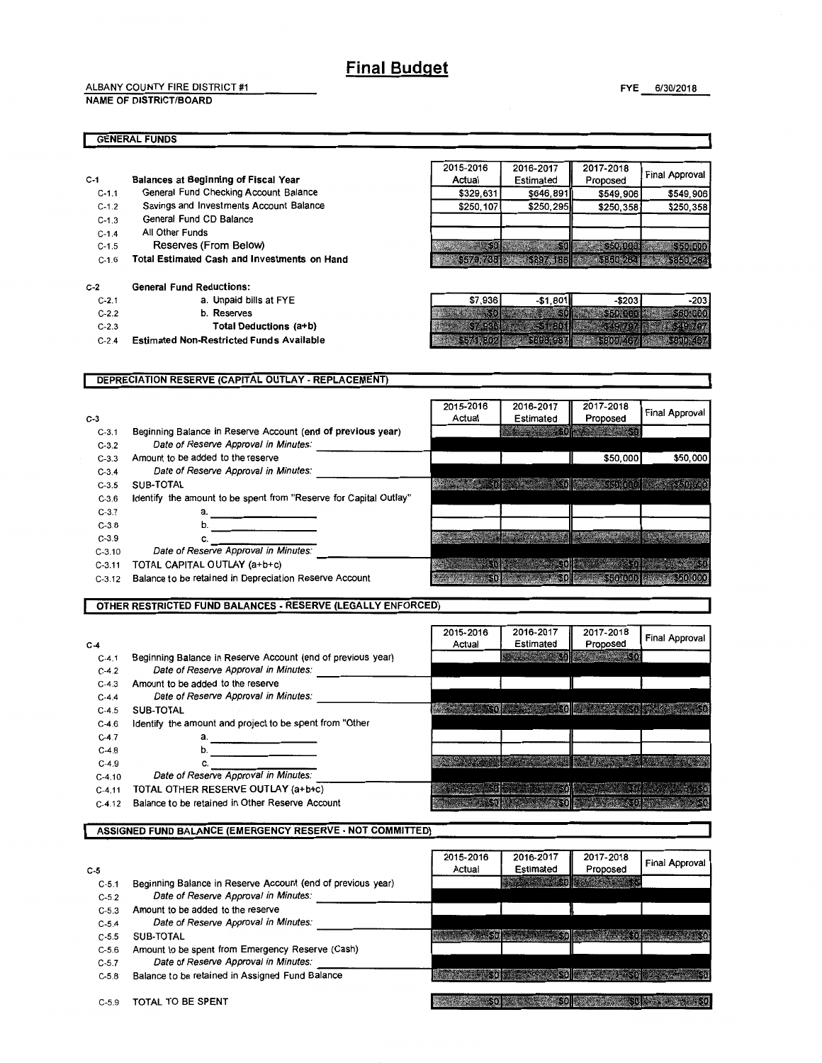ALBANY COUNTY FIRE DISTRICT #1

NAME OF DISTRICT/BOARD

#### GENERAL FUNDS

- C-1 C-1.1 Balances at Beginning of Fiscal Year General Fund Checking Account Balance
	- C-1.2 Savings and Investments Account Balance
	- C-1.3 General Fund CD Balance
	- C-1.4 All Other Funds
	- C-1.5 Reserves (From Below)
	- C-1.6 Total Estimated Cash and Investments on Hand

#### C-2 General Fund Reductions:

- C-2.1 a. Unpaid bills at FYE
- C-2.2 b. Reserves
- C-2.3 Total Deductions (a+b)
- C-2.4 Estimated Non-Restricted Funds Available

| <b>Final Approval</b> | 2017-2018 | 2016-2017 | 2015-2016       |
|-----------------------|-----------|-----------|-----------------|
|                       | Proposed  | Estimated | Actual          |
| \$549,906             | \$549,906 | \$646.891 | \$329,631       |
| \$250,358             | \$250,358 | \$250,295 | \$250,107       |
|                       |           |           |                 |
|                       |           |           |                 |
| \$50,000              | \$50,0001 |           | 50 <sub>0</sub> |
| <b>CC S850 264</b>    | 88860.262 | 5897 186  | 8579 768        |

| \$7,936        | $-$1,801$ | $-$ \$203        | -203 |
|----------------|-----------|------------------|------|
|                |           | <b>Matements</b> |      |
|                |           |                  |      |
| <b>VEHICLE</b> |           |                  |      |

#### DEPRECIATION RESERVE (CAPITAL OUTLAY- REPLACEMENT) 2015-2016 2016-2017 2017-2018 **Final Approval** C-3 3<br>C-3.1 Beginning Balance in Reserve Account (end of previous year)<br>C-3.2 Date of Reserve Approval in Minutes: Estimated Proposed 330 C-3.3 Amount to be added to the reserve  $$50,000$ \$50,000 C-3.4 Date of Reserve Approval in Minutes: **MAKES SOF BELLEVING THE SECOND LESS SECTION** C-3.5 SUB-TOTAL C-3.6 Identify the amount to be spent from "Reserve for Capital Outlay" C-3.7 a.--------- C-3.7 **a.**<br>
C-3.8 **b.**<br>
C-3.9 **c.** C-3.8 b.<br>
C-3.9 c.<br>
C-3.10 Date of Reserve Approval in Minutes: C-3.11 TOTAL CAPITAL OUTLAY (a+b+c)  $-306$  $6.66$ C-3.12 Balance to be retained in Depreciation Reserve Account  $-50$  $$0$  $$50000$ \$50,000

#### OTHER RESTRICTED FUND BALANCES • RESERVE (LEGALLY ENFORCED)

|          |                                                             | 2015-2016 | 2016-2017 | 2017-2018 | Final Approval |
|----------|-------------------------------------------------------------|-----------|-----------|-----------|----------------|
| $C-4$    |                                                             | Actual    | Estimated | Proposed  |                |
| $C-4.1$  | Beginning Balance in Reserve Account (end of previous year) |           |           |           |                |
| $C-4.2$  | Date of Reserve Approval in Minutes:                        |           |           |           |                |
| $C-4.3$  | Amount to be added to the reserve                           |           |           |           |                |
| $C-4.4$  | Date of Reserve Approval in Minutes:                        |           |           |           |                |
| $C-4.5$  | SUB-TOTAL                                                   |           |           |           |                |
| $C-4.6$  | Identify the amount and project to be spent from "Other     |           |           |           |                |
| $C-4.7$  | а.                                                          |           |           |           |                |
| $C-4.8$  | b.                                                          |           |           |           |                |
| $C-4.9$  |                                                             |           |           |           |                |
| $C-4.10$ | Date of Reserve Approval in Minutes:                        |           |           |           |                |
| $C-4.11$ | TOTAL OTHER RESERVE OUTLAY (a+b+c)                          |           |           |           |                |
| $C-4.12$ | Balance to be retained in Other Reserve Account             |           |           |           |                |

|           | <b>ASSIGNED FUND BALANCE (EMERGENCY RESERVE - NOT COMMITTED)</b> |           |                     |           |                       |
|-----------|------------------------------------------------------------------|-----------|---------------------|-----------|-----------------------|
|           |                                                                  |           |                     |           |                       |
|           |                                                                  | 2015-2016 | 2016-2017           | 2017-2018 | <b>Final Approval</b> |
| $C-5$     |                                                                  | Actual    | Estimated           | Proposed  |                       |
| $C - 5.1$ | Beginning Balance in Reserve Account (end of previous year)      |           | <b>CONSTRUCTION</b> |           |                       |
| $C - 5.2$ | Date of Reserve Approval in Minutes:                             |           |                     |           |                       |
| $C-5.3$   | Amount to be added to the reserve                                |           |                     |           |                       |
| $C - 5.4$ | Date of Reserve Approval in Minutes:                             |           |                     |           |                       |
| $C-5.5$   | SUB-TOTAL                                                        |           |                     |           |                       |
| $C-5.6$   | Amount to be spent from Emergency Reserve (Cash)                 |           |                     |           |                       |
| $C - 5.7$ | Date of Reserve Approval in Minutes:                             |           |                     |           |                       |
| $C - 5.8$ | Balance to be retained in Assigned Fund Balance                  |           |                     |           |                       |
| $C-5.9$   | TOTAL TO BE SPENT                                                |           |                     |           |                       |